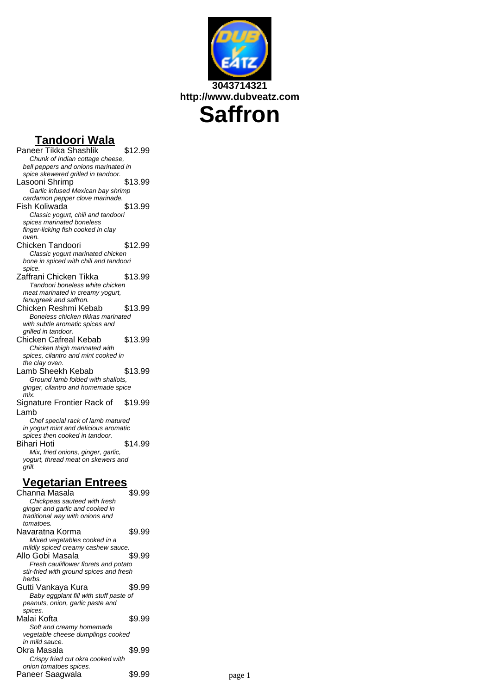

### **Tandoori Wala**

Paneer Tikka Shashlik \$12.99 Chunk of Indian cottage cheese, bell peppers and onions marinated in spice skewered grilled in tandoor. Lasooni Shrimp \$13.99 Garlic infused Mexican bay shrimp cardamon pepper clove marinade.<br>State Koliwada Fish Koliwada Classic yogurt, chili and tandoori spices marinated boneless finger-licking fish cooked in clay oven. Chicken Tandoori \$12.99 Classic yogurt marinated chicken bone in spiced with chili and tandoori spice. Zaffrani Chicken Tikka \$13.99 Tandoori boneless white chicken meat marinated in creamy yogurt, fenugreek and saffron. Chicken Reshmi Kebab \$13.99 Boneless chicken tikkas marinated with subtle aromatic spices and grilled in tandoor. Chicken Cafreal Kebab \$13.99 Chicken thigh marinated with spices, cilantro and mint cooked in the clay oven. Lamb Sheekh Kebab \$13.99 Ground lamb folded with shallots, ginger, cilantro and homemade spice mix. Signature Frontier Rack of Lamb \$19.99 Chef special rack of lamb matured in yogurt mint and delicious aromatic spices then cooked in tandoor. Bihari Hoti \$14.99 Mix, fried onions, ginger, garlic, yogurt, thread meat on skewers and grill. **Vegetarian Entrees** Channa Masala  $$9.99$ Chickpeas sauteed with fresh ginger and garlic and cooked in traditional way with onions and tomatoes. Navaratna Korma \$9.99 Mixed vegetables cooked in a mildly spiced creamy cashew sauce. Allo Gobi Masala  $$9.99$ Fresh cauliflower florets and potato stir-fried with ground spices and fresh herbs Gutti Vankaya Kura  $$9.99$ Baby eggplant fill with stuff paste of peanuts, onion, garlic paste and spices. Malai Kofta **\$9.99** Soft and creamy homemade vegetable cheese dumplings cooked in mild sauce. Okra Masala  $$9.99$ Crispy fried cut okra cooked with

onion tomatoes spices.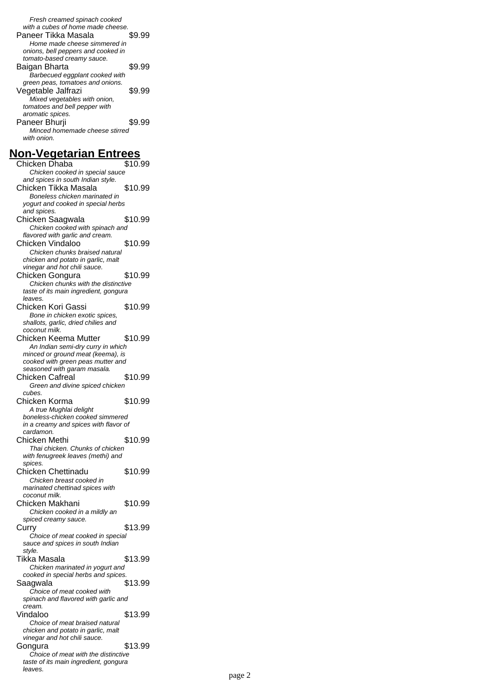Fresh creamed spinach cooked with a cubes of home made cheese. Paneer Tikka Masala  $$9.99$ Home made cheese simmered in onions, bell peppers and cooked in tomato-based creamy sauce. Baigan Bharta \$9.99 Barbecued eggplant cooked with green peas, tomatoes and onions. Vegetable Jalfrazi \$9.99 Mixed vegetables with onion, tomatoes and bell pepper with aromatic spices. Paneer Bhurji \$9.99 Minced homemade cheese stirred with onion.

#### **Non-Vegetarian Entrees**

Chicken Dhaba \$10.99 Chicken cooked in special sauce and spices in south Indian style. Chicken Tikka Masala \$10.99 Boneless chicken marinated in yogurt and cooked in special herbs and spices. Chicken Saagwala \$10.99 Chicken cooked with spinach and flavored with garlic and cream. Chicken Vindaloo \$10.99 Chicken chunks braised natural chicken and potato in garlic, malt vinegar and hot chili sauce. Chicken Gongura \$10.99 Chicken chunks with the distinctive taste of its main ingredient, gongura leaves. Chicken Kori Gassi \$10.99 Bone in chicken exotic spices, shallots, garlic, dried chilies and coconut milk. Chicken Keema Mutter \$10.99 An Indian semi-dry curry in which minced or ground meat (keema), is cooked with green peas mutter and seasoned with garam masala. Chicken Cafreal \$10.99 Green and divine spiced chicken cubes. Chicken Korma \$10.99 A true Mughlai delight boneless-chicken cooked simmered in a creamy and spices with flavor of cardamon. Chicken Methi  $$10.99$ Thai chicken. Chunks of chicken with fenugreek leaves (methi) and spices. Chicken Chettinadu \$10.99 Chicken breast cooked in marinated chettinad spices with coconut milk. Chicken Makhani \$10.99 Chicken cooked in a mildly an spiced creamy sauce. **Curry \$13.99** Choice of meat cooked in special sauce and spices in south Indian style. Tikka Masala  $$13.99$ Chicken marinated in yogurt and cooked in special herbs and spices. Saagwala \$13.99 Choice of meat cooked with spinach and flavored with garlic and cream. Vindaloo \$13.99 Choice of meat braised natural chicken and potato in garlic, malt vinegar and hot chili sauce. Gongura \$13.99 Choice of meat with the distinctive taste of its main ingredient, gongura leaves.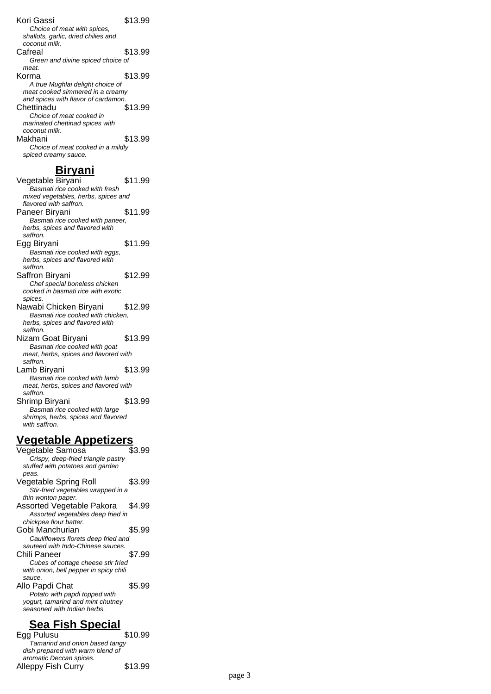Kori Gassi  $$13.99$ Choice of meat with spices, shallots, garlic, dried chilies and coconut milk. Cafreal \$13.99 Green and divine spiced choice of meat. Korma \$13.99 A true Mughlai delight choice of meat cooked simmered in a creamy and spices with flavor of cardamon. Chettinadu \$13.99 Choice of meat cooked in marinated chettinad spices with coconut milk. Makhani \$13.99 Choice of meat cooked in a mildly spiced creamy sauce.

#### **Biryani**

Vegetable Biryani \$11.99 Basmati rice cooked with fresh mixed vegetables, herbs, spices and flavored with saffron. Paneer Biryani \$11.99 Basmati rice cooked with paneer, herbs, spices and flavored with saffron. Egg Biryani \$11.99 Basmati rice cooked with eggs, herbs, spices and flavored with saffron. Saffron Biryani \$12.99 Chef special boneless chicken cooked in basmati rice with exotic spices. Nawabi Chicken Biryani \$12.99 Basmati rice cooked with chicken, herbs, spices and flavored with saffron. Nizam Goat Biryani \$13.99 Basmati rice cooked with goat meat, herbs, spices and flavored with saffron. Lamb Biryani \$13.99 Basmati rice cooked with lamb meat, herbs, spices and flavored with saffron. Shrimp Biryani \$13.99 Basmati rice cooked with large shrimps, herbs, spices and flavored with saffron.

#### **Vegetable Appetizers**

Vegetable Samosa \$3.99 Crispy, deep-fried triangle pastry stuffed with potatoes and garden peas. Vegetable Spring Roll \$3.99 Stir-fried vegetables wrapped in a thin wonton paper. Assorted Vegetable Pakora \$4.99 Assorted vegetables deep fried in chickpea flour batter. Gobi Manchurian \$5.99 Cauliflowers florets deep fried and sauteed with Indo-Chinese sauces. Chili Paneer \$7.99 Cubes of cottage cheese stir fried with onion, bell pepper in spicy chili sauce. Allo Papdi Chat \$5.99 Potato with papdi topped with yogurt, tamarind and mint chutney seasoned with Indian herbs.

### **Sea Fish Special**

Egg Pulusu \$10.99 Tamarind and onion based tangy dish prepared with warm blend of aromatic Deccan spices. Alleppy Fish Curry \$13.99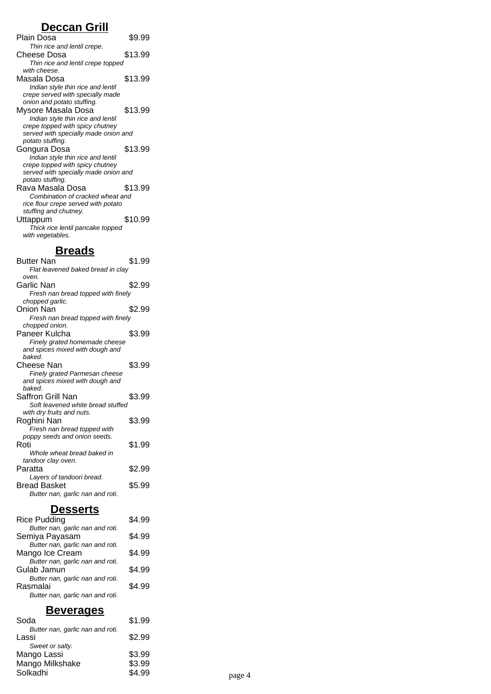### **Deccan Grill**

| Plain Dosa                           | \$9.99  |
|--------------------------------------|---------|
| Thin rice and lentil crepe.          |         |
| Cheese Dosa                          | \$13.99 |
| Thin rice and lentil crepe topped    |         |
| with cheese.                         |         |
| Masala Dosa                          | \$13.99 |
| Indian style thin rice and lentil    |         |
| crepe served with specially made     |         |
| onion and potato stuffing.           |         |
| Mysore Masala Dosa                   | \$13.99 |
| Indian style thin rice and lentil    |         |
| crepe topped with spicy chutney      |         |
| served with specially made onion and |         |
| potato stuffing.                     |         |
| Gongura Dosa                         | \$13.99 |
| Indian style thin rice and lentil    |         |
| crepe topped with spicy chutney      |         |
| served with specially made onion and |         |
| potato stuffing.                     |         |
| Rava Masala Dosa                     | \$13.99 |
| Combination of cracked wheat and     |         |
| rice flour crepe served with potato  |         |
| stuffing and chutney.                |         |
| Uttappum                             | \$10.99 |
| Thick rice lentil pancake topped     |         |
| with vegetables.                     |         |
|                                      |         |

# **Breads**

| <b>Butter Nan</b><br>Flat leavened baked bread in clay | \$1.99 |
|--------------------------------------------------------|--------|
| oven.                                                  |        |
| Garlic Nan                                             | \$2.99 |
| Fresh nan bread topped with finely                     |        |
| chopped garlic.                                        |        |
| Onion Nan                                              | \$2.99 |
| Fresh nan bread topped with finely                     |        |
| chopped onion.                                         |        |
| Paneer Kulcha                                          | \$3.99 |
| Finely grated homemade cheese                          |        |
| and spices mixed with dough and                        |        |
| haked.                                                 |        |
| Cheese Nan                                             | \$3.99 |
| Finely grated Parmesan cheese                          |        |
| and spices mixed with dough and                        |        |
| haked.                                                 |        |
| Saffron Grill Nan                                      | \$3.99 |
| Soft leavened white bread stuffed                      |        |
| with dry fruits and nuts.                              |        |
| Roghini Nan                                            | \$3.99 |
| Fresh nan bread topped with                            |        |
| poppy seeds and onion seeds.                           |        |
| Roti                                                   | \$1.99 |
| Whole wheat bread baked in                             |        |
| tandoor clay oven.                                     |        |
| Paratta                                                | \$2.99 |
| Layers of tandoori bread.                              |        |
| Bread Basket                                           | \$5.99 |
| Butter nan, garlic nan and roti.                       |        |

### **Desserts**

| <b>Rice Pudding</b>              | \$4.99 |
|----------------------------------|--------|
| Butter nan, garlic nan and roti. |        |
| Semiya Payasam                   | \$4.99 |
| Butter nan, garlic nan and roti. |        |
| Mango Ice Cream                  | \$4.99 |
| Butter nan, garlic nan and roti. |        |
| Gulab Jamun                      | \$4.99 |
| Butter nan, garlic nan and roti. |        |
| Rasmalai                         | \$4.99 |
| Butter nan, garlic nan and roti. |        |
|                                  |        |

## **Beverages**

| речегачер                        |        |        |
|----------------------------------|--------|--------|
| Soda                             | \$1.99 |        |
| Butter nan, garlic nan and roti. |        |        |
| Lassi                            | \$2.99 |        |
| Sweet or salty.                  |        |        |
| Mango Lassi                      | \$3.99 |        |
| Mango Milkshake                  | \$3.99 |        |
| Solkadhi                         | \$4.99 | page 4 |
|                                  |        |        |